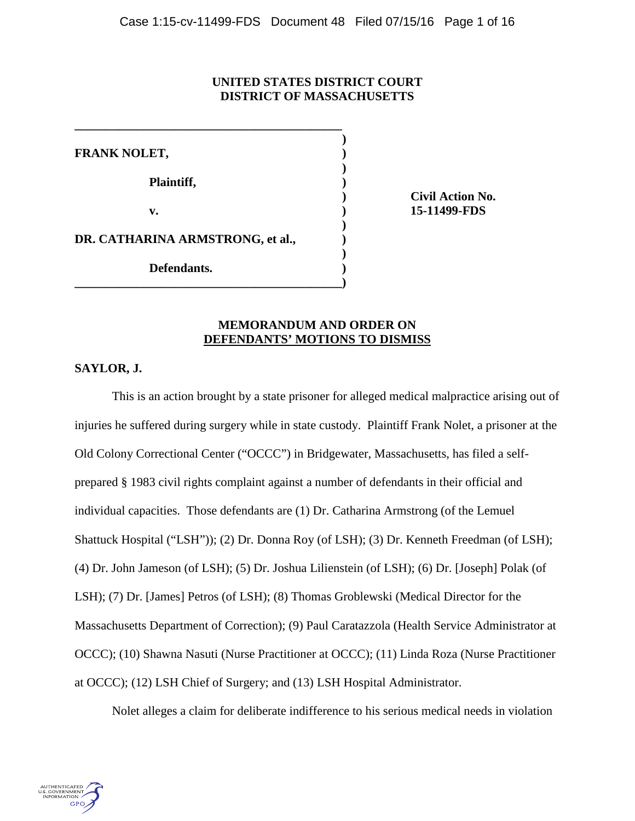# **UNITED STATES DISTRICT COURT DISTRICT OF MASSACHUSETTS**

 **)**

 **)**

 **)**

 **) FRANK NOLET, ) Plaintiff, ) v. ) 15-11499-FDS DR. CATHARINA ARMSTRONG, et al., ) Defendants. )**

**\_\_\_\_\_\_\_\_\_\_\_\_\_\_\_\_\_\_\_\_\_\_\_\_\_\_\_\_\_\_\_\_\_\_\_\_\_\_\_\_\_\_\_)**

**\_\_\_\_\_\_\_\_\_\_\_\_\_\_\_\_\_\_\_\_\_\_\_\_\_\_\_\_\_\_\_\_\_\_\_\_\_\_\_\_\_\_\_** 

 **) Civil Action No.**

# **MEMORANDUM AND ORDER ON DEFENDANTS' MOTIONS TO DISMISS**

**SAYLOR, J.**

This is an action brought by a state prisoner for alleged medical malpractice arising out of injuries he suffered during surgery while in state custody. Plaintiff Frank Nolet, a prisoner at the Old Colony Correctional Center ("OCCC") in Bridgewater, Massachusetts, has filed a selfprepared § 1983 civil rights complaint against a number of defendants in their official and individual capacities. Those defendants are (1) Dr. Catharina Armstrong (of the Lemuel Shattuck Hospital ("LSH")); (2) Dr. Donna Roy (of LSH); (3) Dr. Kenneth Freedman (of LSH); (4) Dr. John Jameson (of LSH); (5) Dr. Joshua Lilienstein (of LSH); (6) Dr. [Joseph] Polak (of LSH); (7) Dr. [James] Petros (of LSH); (8) Thomas Groblewski (Medical Director for the Massachusetts Department of Correction); (9) Paul Caratazzola (Health Service Administrator at OCCC); (10) Shawna Nasuti (Nurse Practitioner at OCCC); (11) Linda Roza (Nurse Practitioner at OCCC); (12) LSH Chief of Surgery; and (13) LSH Hospital Administrator.

Nolet alleges a claim for deliberate indifference to his serious medical needs in violation

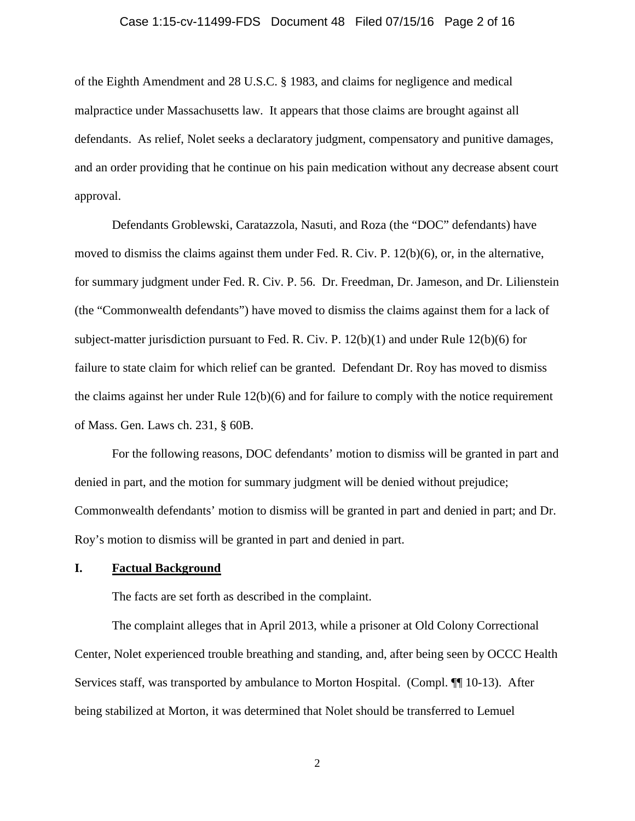### Case 1:15-cv-11499-FDS Document 48 Filed 07/15/16 Page 2 of 16

of the Eighth Amendment and 28 U.S.C. § 1983, and claims for negligence and medical malpractice under Massachusetts law. It appears that those claims are brought against all defendants. As relief, Nolet seeks a declaratory judgment, compensatory and punitive damages, and an order providing that he continue on his pain medication without any decrease absent court approval.

Defendants Groblewski, Caratazzola, Nasuti, and Roza (the "DOC" defendants) have moved to dismiss the claims against them under Fed. R. Civ. P. 12(b)(6), or, in the alternative, for summary judgment under Fed. R. Civ. P. 56. Dr. Freedman, Dr. Jameson, and Dr. Lilienstein (the "Commonwealth defendants") have moved to dismiss the claims against them for a lack of subject-matter jurisdiction pursuant to Fed. R. Civ. P. 12(b)(1) and under Rule 12(b)(6) for failure to state claim for which relief can be granted. Defendant Dr. Roy has moved to dismiss the claims against her under Rule 12(b)(6) and for failure to comply with the notice requirement of Mass. Gen. Laws ch. 231, § 60B.

For the following reasons, DOC defendants' motion to dismiss will be granted in part and denied in part, and the motion for summary judgment will be denied without prejudice; Commonwealth defendants' motion to dismiss will be granted in part and denied in part; and Dr. Roy's motion to dismiss will be granted in part and denied in part.

## **I. Factual Background**

The facts are set forth as described in the complaint.

The complaint alleges that in April 2013, while a prisoner at Old Colony Correctional Center, Nolet experienced trouble breathing and standing, and, after being seen by OCCC Health Services staff, was transported by ambulance to Morton Hospital. (Compl. ¶¶ 10-13). After being stabilized at Morton, it was determined that Nolet should be transferred to Lemuel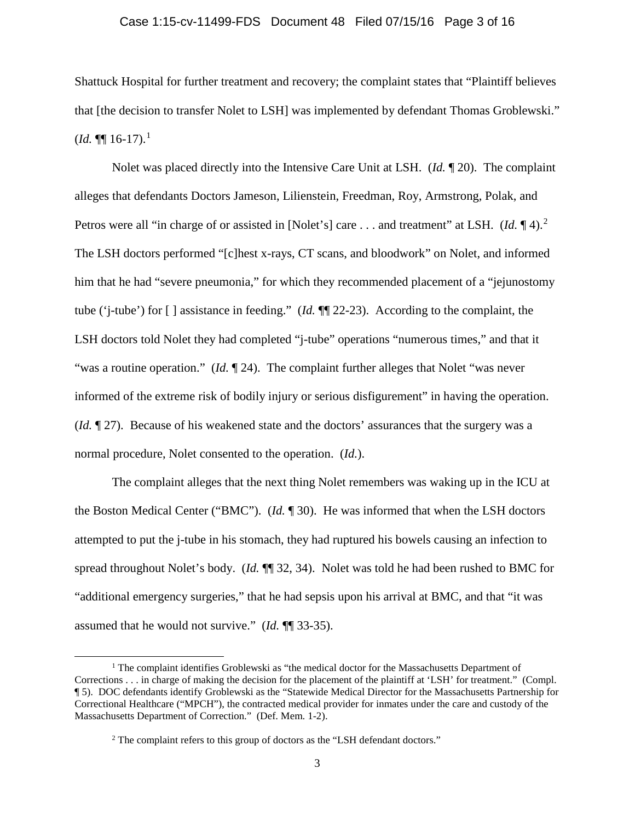#### Case 1:15-cv-11499-FDS Document 48 Filed 07/15/16 Page 3 of 16

Shattuck Hospital for further treatment and recovery; the complaint states that "Plaintiff believes that [the decision to transfer Nolet to LSH] was implemented by defendant Thomas Groblewski."  $$ 

Nolet was placed directly into the Intensive Care Unit at LSH. (*Id.* ¶ 20). The complaint alleges that defendants Doctors Jameson, Lilienstein, Freedman, Roy, Armstrong, Polak, and Petros were all "in charge of or assisted in [Nolet's] care . . . and treatment" at LSH. (*Id.* 14).<sup>[2](#page-2-1)</sup> The LSH doctors performed "[c]hest x-rays, CT scans, and bloodwork" on Nolet, and informed him that he had "severe pneumonia," for which they recommended placement of a "jejunostomy tube ('j-tube') for [ ] assistance in feeding." (*Id.* ¶¶ 22-23). According to the complaint, the LSH doctors told Nolet they had completed "j-tube" operations "numerous times," and that it "was a routine operation." (*Id.* 124). The complaint further alleges that Nolet "was never informed of the extreme risk of bodily injury or serious disfigurement" in having the operation. (*Id.* ¶ 27). Because of his weakened state and the doctors' assurances that the surgery was a normal procedure, Nolet consented to the operation. (*Id.*).

The complaint alleges that the next thing Nolet remembers was waking up in the ICU at the Boston Medical Center ("BMC"). (*Id.* ¶ 30). He was informed that when the LSH doctors attempted to put the j-tube in his stomach, they had ruptured his bowels causing an infection to spread throughout Nolet's body. (*Id.* ¶¶ 32, 34). Nolet was told he had been rushed to BMC for "additional emergency surgeries," that he had sepsis upon his arrival at BMC, and that "it was assumed that he would not survive." (*Id.* ¶¶ 33-35).

l

<span id="page-2-1"></span><span id="page-2-0"></span><sup>&</sup>lt;sup>1</sup> The complaint identifies Groblewski as "the medical doctor for the Massachusetts Department of Corrections . . . in charge of making the decision for the placement of the plaintiff at 'LSH' for treatment." (Compl. ¶ 5). DOC defendants identify Groblewski as the "Statewide Medical Director for the Massachusetts Partnership for Correctional Healthcare ("MPCH"), the contracted medical provider for inmates under the care and custody of the Massachusetts Department of Correction." (Def. Mem. 1-2).

<sup>&</sup>lt;sup>2</sup> The complaint refers to this group of doctors as the "LSH defendant doctors."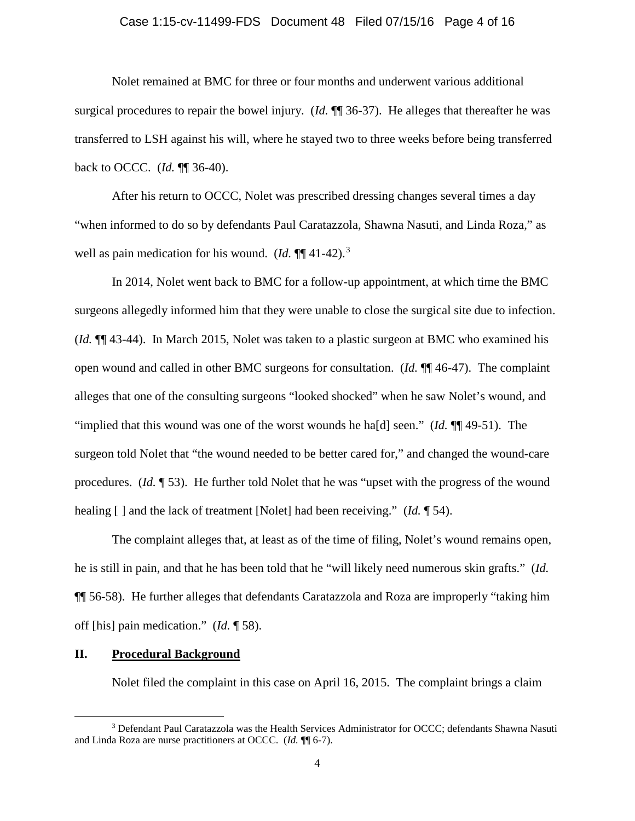### Case 1:15-cv-11499-FDS Document 48 Filed 07/15/16 Page 4 of 16

Nolet remained at BMC for three or four months and underwent various additional surgical procedures to repair the bowel injury. (*Id.* ¶¶ 36-37). He alleges that thereafter he was transferred to LSH against his will, where he stayed two to three weeks before being transferred back to OCCC. (*Id.* ¶¶ 36-40).

After his return to OCCC, Nolet was prescribed dressing changes several times a day "when informed to do so by defendants Paul Caratazzola, Shawna Nasuti, and Linda Roza," as well as pain medication for his wound. (*Id.*  $\P\P$ <sup>41-42).<sup>[3](#page-3-0)</sup></sup>

In 2014, Nolet went back to BMC for a follow-up appointment, at which time the BMC surgeons allegedly informed him that they were unable to close the surgical site due to infection. (*Id.* ¶¶ 43-44). In March 2015, Nolet was taken to a plastic surgeon at BMC who examined his open wound and called in other BMC surgeons for consultation. (*Id.* ¶¶ 46-47). The complaint alleges that one of the consulting surgeons "looked shocked" when he saw Nolet's wound, and "implied that this wound was one of the worst wounds he ha[d] seen." (*Id.* ¶¶ 49-51). The surgeon told Nolet that "the wound needed to be better cared for," and changed the wound-care procedures. (*Id.* ¶ 53). He further told Nolet that he was "upset with the progress of the wound healing [] and the lack of treatment [Nolet] had been receiving." (*Id.* 154).

The complaint alleges that, at least as of the time of filing, Nolet's wound remains open, he is still in pain, and that he has been told that he "will likely need numerous skin grafts." (*Id.*  ¶¶ 56-58). He further alleges that defendants Caratazzola and Roza are improperly "taking him off [his] pain medication." (*Id.* ¶ 58).

# **II. Procedural Background**

l

Nolet filed the complaint in this case on April 16, 2015. The complaint brings a claim

<span id="page-3-0"></span><sup>3</sup> Defendant Paul Caratazzola was the Health Services Administrator for OCCC; defendants Shawna Nasuti and Linda Roza are nurse practitioners at OCCC. (*Id.* ¶¶ 6-7).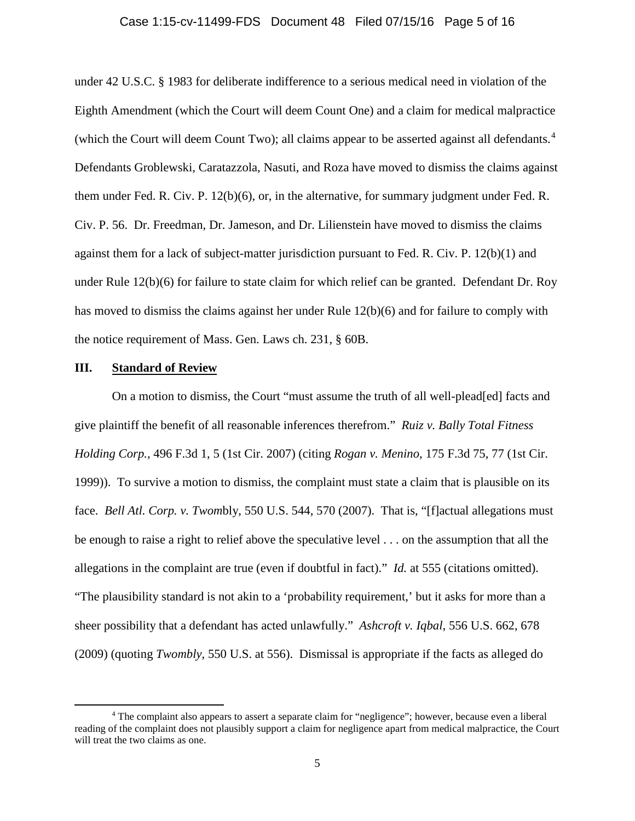#### Case 1:15-cv-11499-FDS Document 48 Filed 07/15/16 Page 5 of 16

under 42 U.S.C. § 1983 for deliberate indifference to a serious medical need in violation of the Eighth Amendment (which the Court will deem Count One) and a claim for medical malpractice (which the Court will deem Count Two); all claims appear to be asserted against all defendants.<sup>[4](#page-4-0)</sup> Defendants Groblewski, Caratazzola, Nasuti, and Roza have moved to dismiss the claims against them under Fed. R. Civ. P. 12(b)(6), or, in the alternative, for summary judgment under Fed. R. Civ. P. 56. Dr. Freedman, Dr. Jameson, and Dr. Lilienstein have moved to dismiss the claims against them for a lack of subject-matter jurisdiction pursuant to Fed. R. Civ. P. 12(b)(1) and under Rule 12(b)(6) for failure to state claim for which relief can be granted. Defendant Dr. Roy has moved to dismiss the claims against her under Rule 12(b)(6) and for failure to comply with the notice requirement of Mass. Gen. Laws ch. 231, § 60B.

### **III. Standard of Review**

 $\overline{\phantom{a}}$ 

On a motion to dismiss, the Court "must assume the truth of all well-plead[ed] facts and give plaintiff the benefit of all reasonable inferences therefrom." *Ruiz v. Bally Total Fitness Holding Corp.*, 496 F.3d 1, 5 (1st Cir. 2007) (citing *Rogan v. Menino*, 175 F.3d 75, 77 (1st Cir. 1999)). To survive a motion to dismiss, the complaint must state a claim that is plausible on its face. *Bell Atl. Corp. v. Twom*bly, 550 U.S. 544, 570 (2007). That is, "[f]actual allegations must be enough to raise a right to relief above the speculative level . . . on the assumption that all the allegations in the complaint are true (even if doubtful in fact)." *Id.* at 555 (citations omitted). "The plausibility standard is not akin to a 'probability requirement,' but it asks for more than a sheer possibility that a defendant has acted unlawfully." *Ashcroft v. Iqbal*, 556 U.S. 662, 678 (2009) (quoting *Twombly*, 550 U.S. at 556). Dismissal is appropriate if the facts as alleged do

<span id="page-4-0"></span><sup>4</sup> The complaint also appears to assert a separate claim for "negligence"; however, because even a liberal reading of the complaint does not plausibly support a claim for negligence apart from medical malpractice, the Court will treat the two claims as one.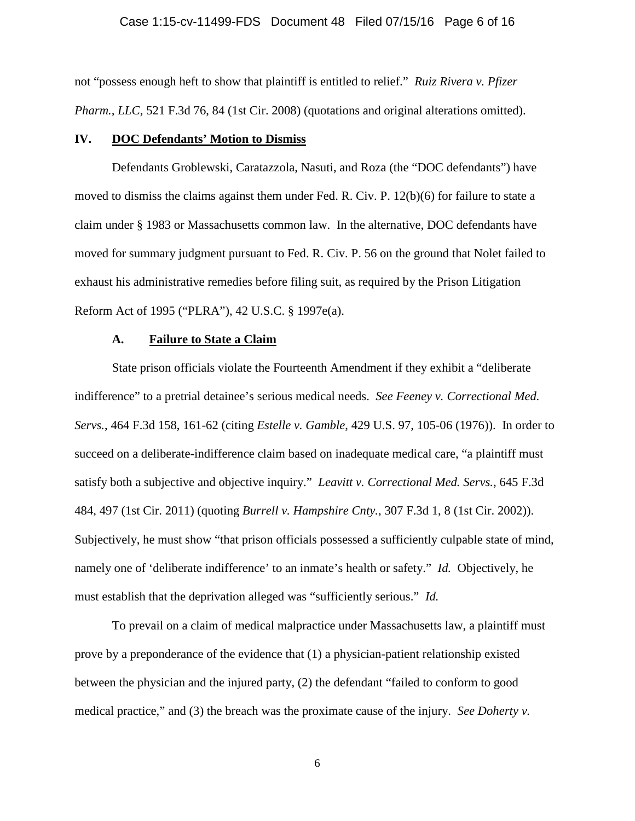#### Case 1:15-cv-11499-FDS Document 48 Filed 07/15/16 Page 6 of 16

not "possess enough heft to show that plaintiff is entitled to relief." *Ruiz Rivera v. Pfizer Pharm., LLC*, 521 F.3d 76, 84 (1st Cir. 2008) (quotations and original alterations omitted).

### **IV. DOC Defendants' Motion to Dismiss**

Defendants Groblewski, Caratazzola, Nasuti, and Roza (the "DOC defendants") have moved to dismiss the claims against them under Fed. R. Civ. P. 12(b)(6) for failure to state a claim under § 1983 or Massachusetts common law. In the alternative, DOC defendants have moved for summary judgment pursuant to Fed. R. Civ. P. 56 on the ground that Nolet failed to exhaust his administrative remedies before filing suit, as required by the Prison Litigation Reform Act of 1995 ("PLRA"), 42 U.S.C. § 1997e(a).

#### **A. Failure to State a Claim**

State prison officials violate the Fourteenth Amendment if they exhibit a "deliberate indifference" to a pretrial detainee's serious medical needs. *See Feeney v. Correctional Med. Servs.*, 464 F.3d 158, 161-62 (citing *Estelle v. Gamble*, 429 U.S. 97, 105-06 (1976)). In order to succeed on a deliberate-indifference claim based on inadequate medical care, "a plaintiff must satisfy both a subjective and objective inquiry." *Leavitt v. Correctional Med. Servs.*, 645 F.3d 484, 497 (1st Cir. 2011) (quoting *Burrell v. Hampshire Cnty.*, 307 F.3d 1, 8 (1st Cir. 2002)). Subjectively, he must show "that prison officials possessed a sufficiently culpable state of mind, namely one of 'deliberate indifference' to an inmate's health or safety." *Id.* Objectively, he must establish that the deprivation alleged was "sufficiently serious." *Id.*

To prevail on a claim of medical malpractice under Massachusetts law, a plaintiff must prove by a preponderance of the evidence that (1) a physician-patient relationship existed between the physician and the injured party, (2) the defendant "failed to conform to good medical practice," and (3) the breach was the proximate cause of the injury. *See Doherty v.*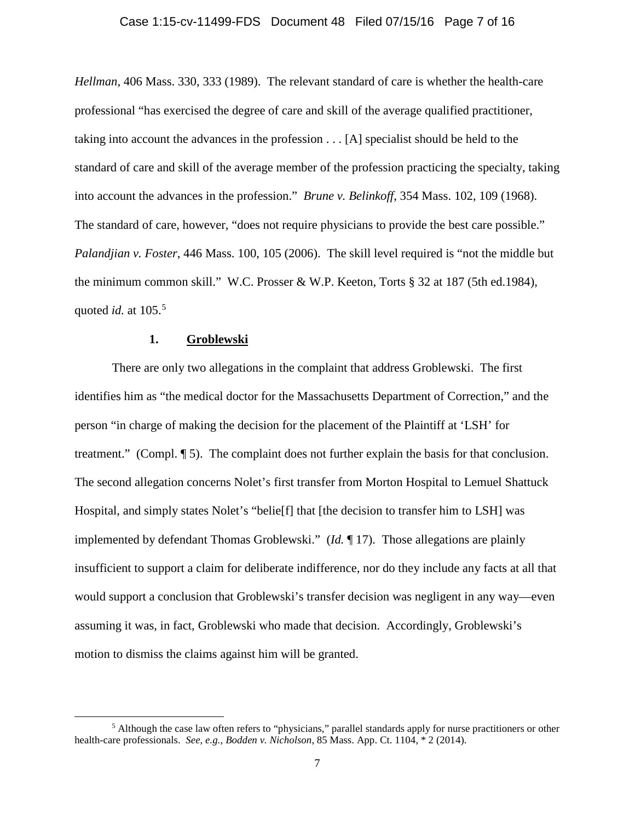### Case 1:15-cv-11499-FDS Document 48 Filed 07/15/16 Page 7 of 16

*Hellman*, 406 Mass. 330, 333 (1989). The relevant standard of care is whether the health-care professional "has exercised the degree of care and skill of the average qualified practitioner, taking into account the advances in the profession . . . [A] specialist should be held to the standard of care and skill of the average member of the profession practicing the specialty, taking into account the advances in the profession." *Brune v. Belinkoff*, 354 Mass. 102, 109 (1968). The standard of care, however, "does not require physicians to provide the best care possible." *Palandjian v. Foster*, 446 Mass. 100, 105 (2006). The skill level required is "not the middle but the minimum common skill." W.C. Prosser & W.P. Keeton, Torts § 32 at 187 (5th ed.1984), quoted *id*. at 10[5](#page-6-0).<sup>5</sup>

# **1. Groblewski**

l

There are only two allegations in the complaint that address Groblewski. The first identifies him as "the medical doctor for the Massachusetts Department of Correction," and the person "in charge of making the decision for the placement of the Plaintiff at 'LSH' for treatment." (Compl. ¶ 5). The complaint does not further explain the basis for that conclusion. The second allegation concerns Nolet's first transfer from Morton Hospital to Lemuel Shattuck Hospital, and simply states Nolet's "belie[f] that [the decision to transfer him to LSH] was implemented by defendant Thomas Groblewski." (*Id.* ¶ 17). Those allegations are plainly insufficient to support a claim for deliberate indifference, nor do they include any facts at all that would support a conclusion that Groblewski's transfer decision was negligent in any way—even assuming it was, in fact, Groblewski who made that decision. Accordingly, Groblewski's motion to dismiss the claims against him will be granted.

<span id="page-6-0"></span><sup>&</sup>lt;sup>5</sup> Although the case law often refers to "physicians," parallel standards apply for nurse practitioners or other health-care professionals. *See, e.g.*, *Bodden v. Nicholson*, 85 Mass. App. Ct. 1104, \* 2 (2014).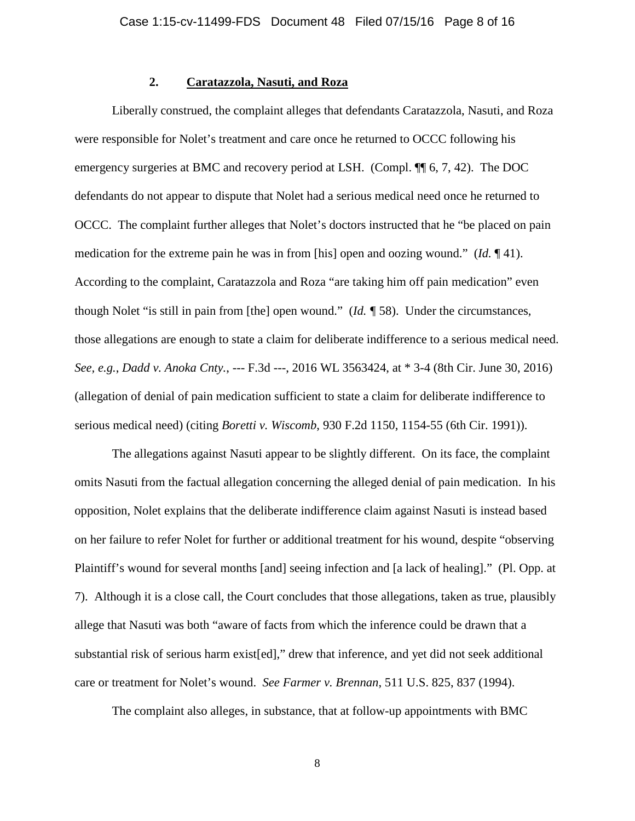# **2. Caratazzola, Nasuti, and Roza**

Liberally construed, the complaint alleges that defendants Caratazzola, Nasuti, and Roza were responsible for Nolet's treatment and care once he returned to OCCC following his emergency surgeries at BMC and recovery period at LSH. (Compl. ¶¶ 6, 7, 42). The DOC defendants do not appear to dispute that Nolet had a serious medical need once he returned to OCCC. The complaint further alleges that Nolet's doctors instructed that he "be placed on pain medication for the extreme pain he was in from [his] open and oozing wound." (*Id.* ¶ 41). According to the complaint, Caratazzola and Roza "are taking him off pain medication" even though Nolet "is still in pain from [the] open wound." (*Id. ¶* 58). Under the circumstances, those allegations are enough to state a claim for deliberate indifference to a serious medical need. *See, e.g.*, *Dadd v. Anoka Cnty.*, --- F.3d ---, 2016 WL 3563424, at \* 3-4 (8th Cir. June 30, 2016) (allegation of denial of pain medication sufficient to state a claim for deliberate indifference to serious medical need) (citing *Boretti v. Wiscomb*, 930 F.2d 1150, 1154-55 (6th Cir. 1991)).

The allegations against Nasuti appear to be slightly different. On its face, the complaint omits Nasuti from the factual allegation concerning the alleged denial of pain medication. In his opposition, Nolet explains that the deliberate indifference claim against Nasuti is instead based on her failure to refer Nolet for further or additional treatment for his wound, despite "observing Plaintiff's wound for several months [and] seeing infection and [a lack of healing]." (Pl. Opp. at 7). Although it is a close call, the Court concludes that those allegations, taken as true, plausibly allege that Nasuti was both "aware of facts from which the inference could be drawn that a substantial risk of serious harm exist[ed]," drew that inference, and yet did not seek additional care or treatment for Nolet's wound. *See Farmer v. Brennan*, 511 U.S. 825, 837 (1994).

The complaint also alleges, in substance, that at follow-up appointments with BMC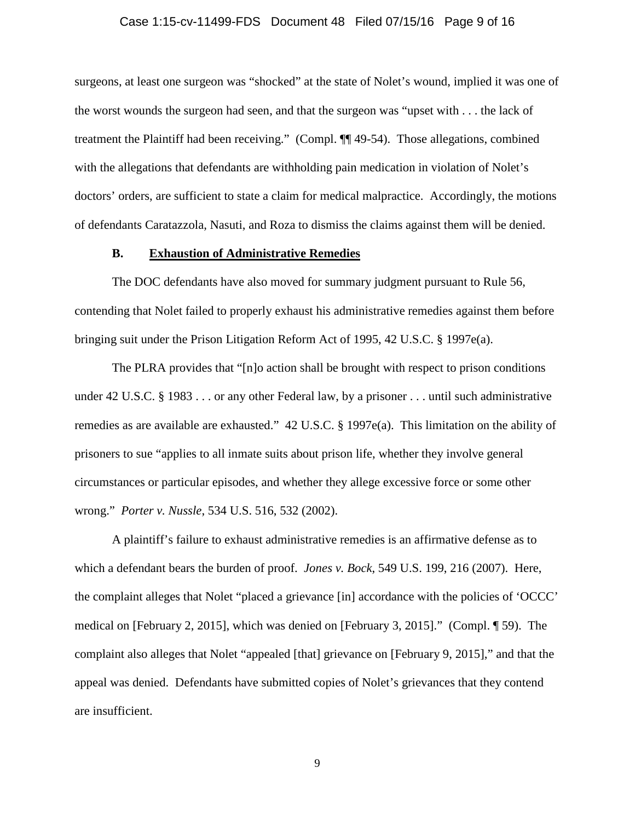### Case 1:15-cv-11499-FDS Document 48 Filed 07/15/16 Page 9 of 16

surgeons, at least one surgeon was "shocked" at the state of Nolet's wound, implied it was one of the worst wounds the surgeon had seen, and that the surgeon was "upset with . . . the lack of treatment the Plaintiff had been receiving." (Compl. ¶¶ 49-54). Those allegations, combined with the allegations that defendants are withholding pain medication in violation of Nolet's doctors' orders, are sufficient to state a claim for medical malpractice. Accordingly, the motions of defendants Caratazzola, Nasuti, and Roza to dismiss the claims against them will be denied.

### **B. Exhaustion of Administrative Remedies**

The DOC defendants have also moved for summary judgment pursuant to Rule 56, contending that Nolet failed to properly exhaust his administrative remedies against them before bringing suit under the Prison Litigation Reform Act of 1995, 42 U.S.C. § 1997e(a).

The PLRA provides that "[n]o action shall be brought with respect to prison conditions under 42 U.S.C. § 1983 . . . or any other Federal law, by a prisoner . . . until such administrative remedies as are available are exhausted." 42 U.S.C. § 1997e(a). This limitation on the ability of prisoners to sue "applies to all inmate suits about prison life, whether they involve general circumstances or particular episodes, and whether they allege excessive force or some other wrong." *Porter v. Nussle*, 534 U.S. 516, 532 (2002).

A plaintiff's failure to exhaust administrative remedies is an affirmative defense as to which a defendant bears the burden of proof. *Jones v. Bock*, 549 U.S. 199, 216 (2007). Here, the complaint alleges that Nolet "placed a grievance [in] accordance with the policies of 'OCCC' medical on [February 2, 2015], which was denied on [February 3, 2015]." (Compl. ¶ 59). The complaint also alleges that Nolet "appealed [that] grievance on [February 9, 2015]," and that the appeal was denied. Defendants have submitted copies of Nolet's grievances that they contend are insufficient.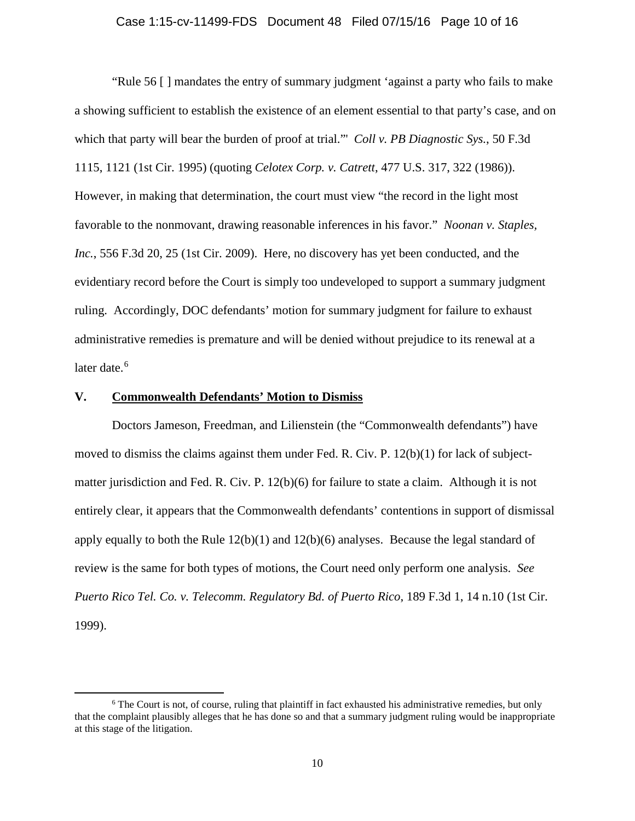### Case 1:15-cv-11499-FDS Document 48 Filed 07/15/16 Page 10 of 16

"Rule 56 [ ] mandates the entry of summary judgment 'against a party who fails to make a showing sufficient to establish the existence of an element essential to that party's case, and on which that party will bear the burden of proof at trial."' *Coll v. PB Diagnostic Sys.*, 50 F.3d 1115, 1121 (1st Cir. 1995) (quoting *Celotex Corp. v. Catrett*, 477 U.S. 317, 322 (1986)). However, in making that determination, the court must view "the record in the light most favorable to the nonmovant, drawing reasonable inferences in his favor." *Noonan v. Staples, Inc.*, 556 F.3d 20, 25 (1st Cir. 2009). Here, no discovery has yet been conducted, and the evidentiary record before the Court is simply too undeveloped to support a summary judgment ruling. Accordingly, DOC defendants' motion for summary judgment for failure to exhaust administrative remedies is premature and will be denied without prejudice to its renewal at a later date. [6](#page-9-0)

### **V. Commonwealth Defendants' Motion to Dismiss**

l

Doctors Jameson, Freedman, and Lilienstein (the "Commonwealth defendants") have moved to dismiss the claims against them under Fed. R. Civ. P. 12(b)(1) for lack of subjectmatter jurisdiction and Fed. R. Civ. P. 12(b)(6) for failure to state a claim. Although it is not entirely clear, it appears that the Commonwealth defendants' contentions in support of dismissal apply equally to both the Rule  $12(b)(1)$  and  $12(b)(6)$  analyses. Because the legal standard of review is the same for both types of motions, the Court need only perform one analysis. *See Puerto Rico Tel. Co. v. Telecomm. Regulatory Bd. of Puerto Rico*, 189 F.3d 1, 14 n.10 (1st Cir. 1999).

<span id="page-9-0"></span><sup>&</sup>lt;sup>6</sup> The Court is not, of course, ruling that plaintiff in fact exhausted his administrative remedies, but only that the complaint plausibly alleges that he has done so and that a summary judgment ruling would be inappropriate at this stage of the litigation.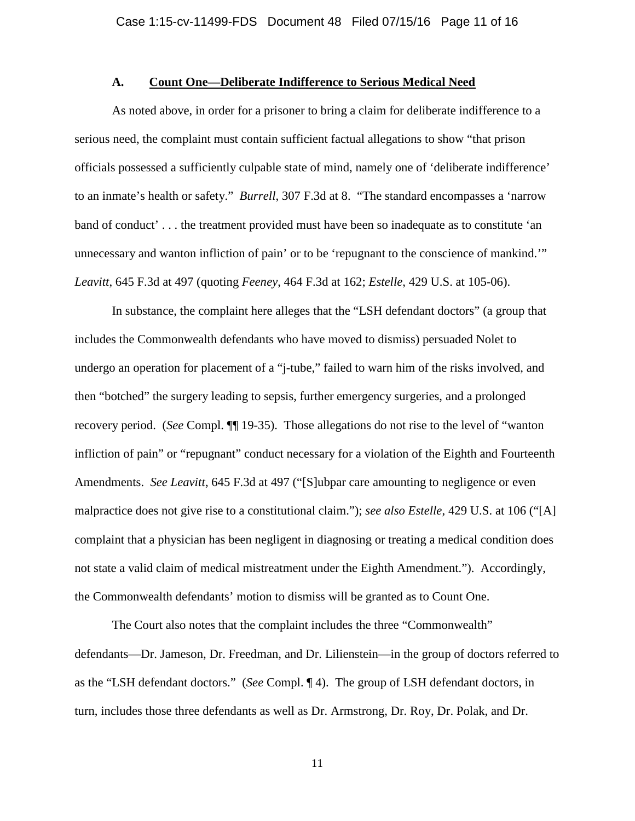### **A. Count One—Deliberate Indifference to Serious Medical Need**

As noted above, in order for a prisoner to bring a claim for deliberate indifference to a serious need, the complaint must contain sufficient factual allegations to show "that prison officials possessed a sufficiently culpable state of mind, namely one of 'deliberate indifference' to an inmate's health or safety." *Burrell*, 307 F.3d at 8. "The standard encompasses a 'narrow band of conduct' . . . the treatment provided must have been so inadequate as to constitute 'an unnecessary and wanton infliction of pain' or to be 'repugnant to the conscience of mankind.'" *Leavitt*, 645 F.3d at 497 (quoting *Feeney*, 464 F.3d at 162; *Estelle*, 429 U.S. at 105-06).

In substance, the complaint here alleges that the "LSH defendant doctors" (a group that includes the Commonwealth defendants who have moved to dismiss) persuaded Nolet to undergo an operation for placement of a "j-tube," failed to warn him of the risks involved, and then "botched" the surgery leading to sepsis, further emergency surgeries, and a prolonged recovery period. (*See* Compl. ¶¶ 19-35). Those allegations do not rise to the level of "wanton infliction of pain" or "repugnant" conduct necessary for a violation of the Eighth and Fourteenth Amendments. *See Leavitt*, 645 F.3d at 497 ("[S]ubpar care amounting to negligence or even malpractice does not give rise to a constitutional claim."); *see also Estelle*, 429 U.S. at 106 ("[A] complaint that a physician has been negligent in diagnosing or treating a medical condition does not state a valid claim of medical mistreatment under the Eighth Amendment."). Accordingly, the Commonwealth defendants' motion to dismiss will be granted as to Count One.

The Court also notes that the complaint includes the three "Commonwealth" defendants—Dr. Jameson, Dr. Freedman, and Dr. Lilienstein—in the group of doctors referred to as the "LSH defendant doctors." (*See* Compl. ¶ 4). The group of LSH defendant doctors, in turn, includes those three defendants as well as Dr. Armstrong, Dr. Roy, Dr. Polak, and Dr.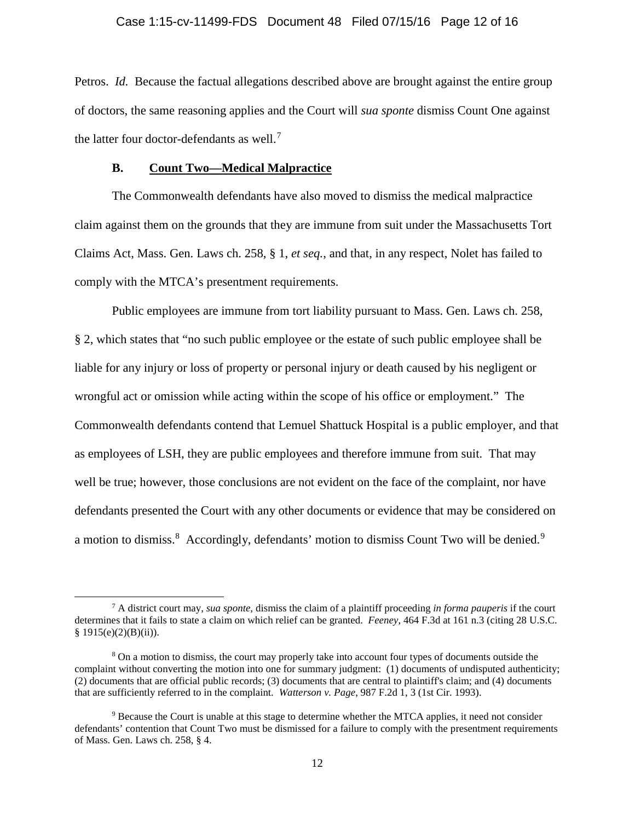# Case 1:15-cv-11499-FDS Document 48 Filed 07/15/16 Page 12 of 16

Petros. *Id.* Because the factual allegations described above are brought against the entire group of doctors, the same reasoning applies and the Court will *sua sponte* dismiss Count One against the latter four doctor-defendants as well.<sup>[7](#page-11-0)</sup>

### **B. Count Two—Medical Malpractice**

 $\overline{\phantom{a}}$ 

The Commonwealth defendants have also moved to dismiss the medical malpractice claim against them on the grounds that they are immune from suit under the Massachusetts Tort Claims Act, Mass. Gen. Laws ch. 258, § 1, *et seq.*, and that, in any respect, Nolet has failed to comply with the MTCA's presentment requirements.

Public employees are immune from tort liability pursuant to Mass. Gen. Laws ch. 258, § 2, which states that "no such public employee or the estate of such public employee shall be liable for any injury or loss of property or personal injury or death caused by his negligent or wrongful act or omission while acting within the scope of his office or employment." The Commonwealth defendants contend that Lemuel Shattuck Hospital is a public employer, and that as employees of LSH, they are public employees and therefore immune from suit. That may well be true; however, those conclusions are not evident on the face of the complaint, nor have defendants presented the Court with any other documents or evidence that may be considered on a motion to dismiss.<sup>[8](#page-11-1)</sup> Accordingly, defendants' motion to dismiss Count Two will be denied.<sup>[9](#page-11-2)</sup>

<span id="page-11-0"></span><sup>7</sup> A district court may, *sua sponte*, dismiss the claim of a plaintiff proceeding *in forma pauperis* if the court determines that it fails to state a claim on which relief can be granted. *Feeney*, 464 F.3d at 161 n.3 (citing 28 U.S.C.  $§ 1915(e)(2)(B)(ii)).$ 

<span id="page-11-1"></span><sup>&</sup>lt;sup>8</sup> On a motion to dismiss, the court may properly take into account four types of documents outside the complaint without converting the motion into one for summary judgment: (1) documents of undisputed authenticity; (2) documents that are official public records; (3) documents that are central to plaintiff's claim; and (4) documents that are sufficiently referred to in the complaint. *Watterson v. Page*, 987 F.2d 1, 3 (1st Cir. 1993).

<span id="page-11-2"></span><sup>9</sup> Because the Court is unable at this stage to determine whether the MTCA applies, it need not consider defendants' contention that Count Two must be dismissed for a failure to comply with the presentment requirements of Mass. Gen. Laws ch. 258, § 4.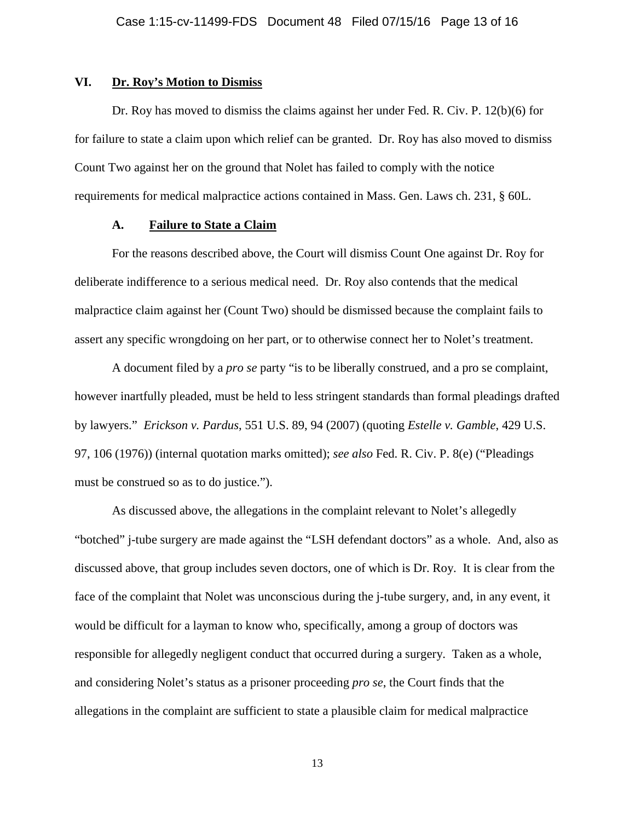## **VI. Dr. Roy's Motion to Dismiss**

Dr. Roy has moved to dismiss the claims against her under Fed. R. Civ. P. 12(b)(6) for for failure to state a claim upon which relief can be granted. Dr. Roy has also moved to dismiss Count Two against her on the ground that Nolet has failed to comply with the notice requirements for medical malpractice actions contained in Mass. Gen. Laws ch. 231, § 60L.

## **A. Failure to State a Claim**

For the reasons described above, the Court will dismiss Count One against Dr. Roy for deliberate indifference to a serious medical need. Dr. Roy also contends that the medical malpractice claim against her (Count Two) should be dismissed because the complaint fails to assert any specific wrongdoing on her part, or to otherwise connect her to Nolet's treatment.

A document filed by a *pro se* party "is to be liberally construed, and a pro se complaint, however inartfully pleaded, must be held to less stringent standards than formal pleadings drafted by lawyers." *Erickson v. Pardus*, 551 U.S. 89, 94 (2007) (quoting *Estelle v. Gamble*, 429 U.S. 97, 106 (1976)) (internal quotation marks omitted); *see also* Fed. R. Civ. P. 8(e) ("Pleadings must be construed so as to do justice.").

As discussed above, the allegations in the complaint relevant to Nolet's allegedly "botched" j-tube surgery are made against the "LSH defendant doctors" as a whole. And, also as discussed above, that group includes seven doctors, one of which is Dr. Roy. It is clear from the face of the complaint that Nolet was unconscious during the j-tube surgery, and, in any event, it would be difficult for a layman to know who, specifically, among a group of doctors was responsible for allegedly negligent conduct that occurred during a surgery. Taken as a whole, and considering Nolet's status as a prisoner proceeding *pro se*, the Court finds that the allegations in the complaint are sufficient to state a plausible claim for medical malpractice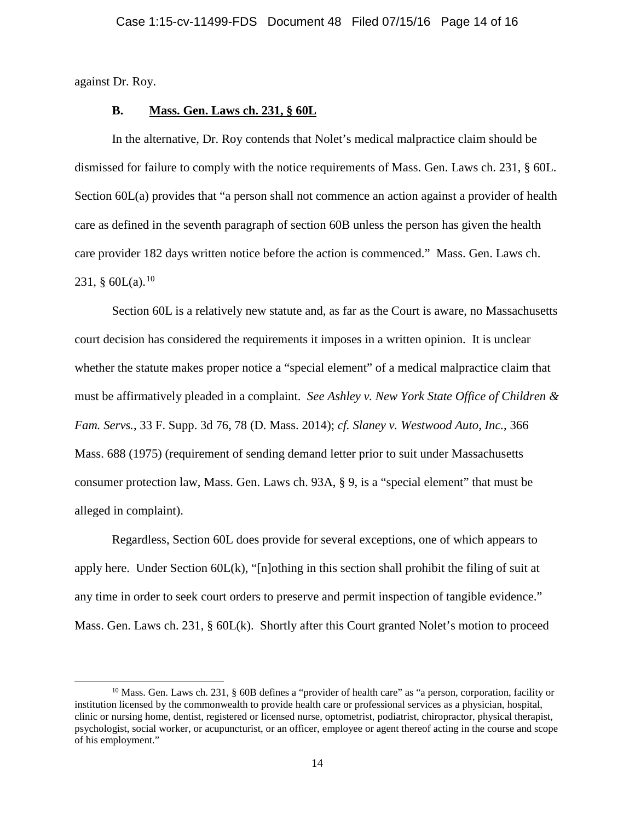against Dr. Roy.

 $\overline{\phantom{a}}$ 

## **B. Mass. Gen. Laws ch. 231, § 60L**

In the alternative, Dr. Roy contends that Nolet's medical malpractice claim should be dismissed for failure to comply with the notice requirements of Mass. Gen. Laws ch. 231, § 60L. Section 60L(a) provides that "a person shall not commence an action against a provider of health care as defined in the seventh paragraph of section 60B unless the person has given the health care provider 182 days written notice before the action is commenced." Mass. Gen. Laws ch. 231,  $\text{60L(a)}$ .<sup>[10](#page-13-0)</sup>

Section 60L is a relatively new statute and, as far as the Court is aware, no Massachusetts court decision has considered the requirements it imposes in a written opinion. It is unclear whether the statute makes proper notice a "special element" of a medical malpractice claim that must be affirmatively pleaded in a complaint. *See Ashley v. New York State Office of Children & Fam. Servs.*, 33 F. Supp. 3d 76, 78 (D. Mass. 2014); *cf. Slaney v. Westwood Auto, Inc.*, 366 Mass. 688 (1975) (requirement of sending demand letter prior to suit under Massachusetts consumer protection law, Mass. Gen. Laws ch. 93A, § 9, is a "special element" that must be alleged in complaint).

Regardless, Section 60L does provide for several exceptions, one of which appears to apply here. Under Section 60L(k), "[n]othing in this section shall prohibit the filing of suit at any time in order to seek court orders to preserve and permit inspection of tangible evidence." Mass. Gen. Laws ch. 231, § 60L(k). Shortly after this Court granted Nolet's motion to proceed

<span id="page-13-0"></span> $10$  Mass. Gen. Laws ch. 231, § 60B defines a "provider of health care" as "a person, corporation, facility or institution licensed by the commonwealth to provide health care or professional services as a physician, hospital, clinic or nursing home, dentist, registered or licensed nurse, optometrist, podiatrist, chiropractor, physical therapist, psychologist, social worker, or acupuncturist, or an officer, employee or agent thereof acting in the course and scope of his employment."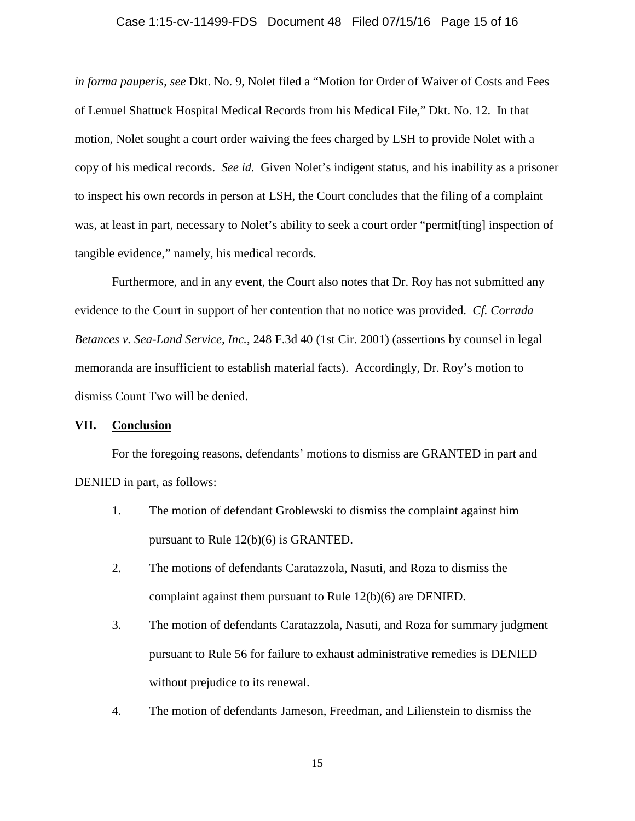#### Case 1:15-cv-11499-FDS Document 48 Filed 07/15/16 Page 15 of 16

*in forma pauperis*, *see* Dkt. No. 9, Nolet filed a "Motion for Order of Waiver of Costs and Fees of Lemuel Shattuck Hospital Medical Records from his Medical File," Dkt. No. 12. In that motion, Nolet sought a court order waiving the fees charged by LSH to provide Nolet with a copy of his medical records. *See id.* Given Nolet's indigent status, and his inability as a prisoner to inspect his own records in person at LSH, the Court concludes that the filing of a complaint was, at least in part, necessary to Nolet's ability to seek a court order "permit[ting] inspection of tangible evidence," namely, his medical records.

Furthermore, and in any event, the Court also notes that Dr. Roy has not submitted any evidence to the Court in support of her contention that no notice was provided. *Cf. Corrada Betances v. Sea-Land Service, Inc.*, 248 F.3d 40 (1st Cir. 2001) (assertions by counsel in legal memoranda are insufficient to establish material facts). Accordingly, Dr. Roy's motion to dismiss Count Two will be denied.

## **VII. Conclusion**

For the foregoing reasons, defendants' motions to dismiss are GRANTED in part and DENIED in part, as follows:

- 1. The motion of defendant Groblewski to dismiss the complaint against him pursuant to Rule 12(b)(6) is GRANTED.
- 2. The motions of defendants Caratazzola, Nasuti, and Roza to dismiss the complaint against them pursuant to Rule 12(b)(6) are DENIED.
- 3. The motion of defendants Caratazzola, Nasuti, and Roza for summary judgment pursuant to Rule 56 for failure to exhaust administrative remedies is DENIED without prejudice to its renewal.
- 4. The motion of defendants Jameson, Freedman, and Lilienstein to dismiss the